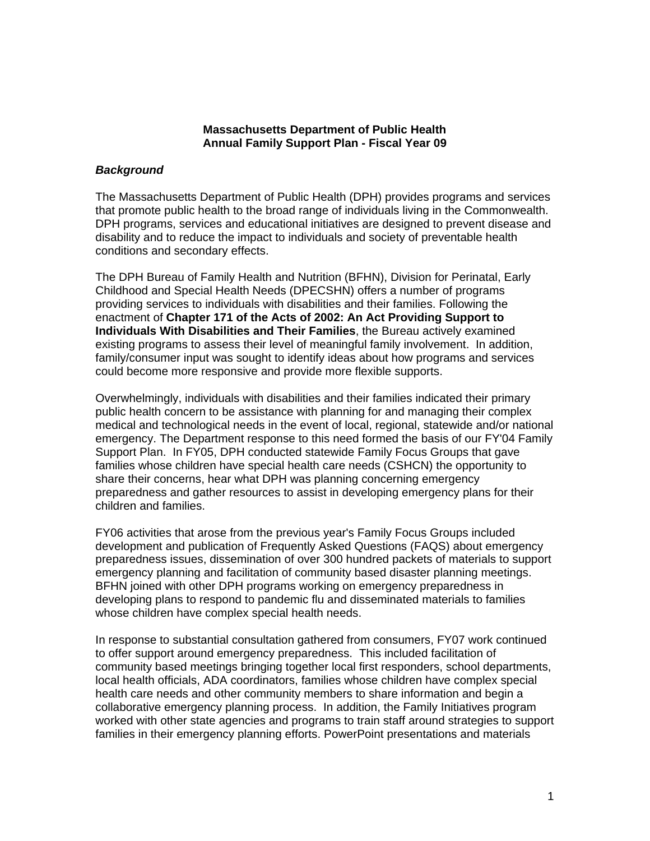### **Massachusetts Department of Public Health Annual Family Support Plan - Fiscal Year 09**

### *Background*

The Massachusetts Department of Public Health (DPH) provides programs and services that promote public health to the broad range of individuals living in the Commonwealth. DPH programs, services and educational initiatives are designed to prevent disease and disability and to reduce the impact to individuals and society of preventable health conditions and secondary effects.

The DPH Bureau of Family Health and Nutrition (BFHN), Division for Perinatal, Early Childhood and Special Health Needs (DPECSHN) offers a number of programs providing services to individuals with disabilities and their families. Following the enactment of **Chapter 171 of the Acts of 2002: An Act Providing Support to Individuals With Disabilities and Their Families**, the Bureau actively examined existing programs to assess their level of meaningful family involvement. In addition, family/consumer input was sought to identify ideas about how programs and services could become more responsive and provide more flexible supports.

Overwhelmingly, individuals with disabilities and their families indicated their primary public health concern to be assistance with planning for and managing their complex medical and technological needs in the event of local, regional, statewide and/or national emergency. The Department response to this need formed the basis of our FY'04 Family Support Plan. In FY05, DPH conducted statewide Family Focus Groups that gave families whose children have special health care needs (CSHCN) the opportunity to share their concerns, hear what DPH was planning concerning emergency preparedness and gather resources to assist in developing emergency plans for their children and families.

FY06 activities that arose from the previous year's Family Focus Groups included development and publication of Frequently Asked Questions (FAQS) about emergency preparedness issues, dissemination of over 300 hundred packets of materials to support emergency planning and facilitation of community based disaster planning meetings. BFHN joined with other DPH programs working on emergency preparedness in developing plans to respond to pandemic flu and disseminated materials to families whose children have complex special health needs.

In response to substantial consultation gathered from consumers, FY07 work continued to offer support around emergency preparedness. This included facilitation of community based meetings bringing together local first responders, school departments, local health officials, ADA coordinators, families whose children have complex special health care needs and other community members to share information and begin a collaborative emergency planning process. In addition, the Family Initiatives program worked with other state agencies and programs to train staff around strategies to support families in their emergency planning efforts. PowerPoint presentations and materials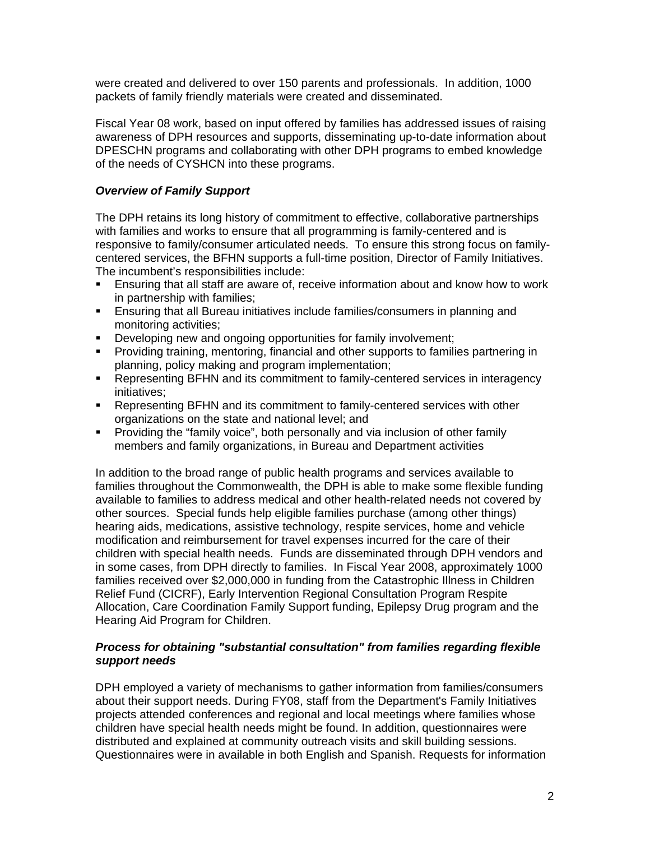were created and delivered to over 150 parents and professionals. In addition, 1000 packets of family friendly materials were created and disseminated.

Fiscal Year 08 work, based on input offered by families has addressed issues of raising awareness of DPH resources and supports, disseminating up-to-date information about DPESCHN programs and collaborating with other DPH programs to embed knowledge of the needs of CYSHCN into these programs.

## *Overview of Family Support*

The DPH retains its long history of commitment to effective, collaborative partnerships with families and works to ensure that all programming is family-centered and is responsive to family/consumer articulated needs. To ensure this strong focus on familycentered services, the BFHN supports a full-time position, Director of Family Initiatives. The incumbent's responsibilities include:

- **Ensuring that all staff are aware of, receive information about and know how to work** in partnership with families;
- ! Ensuring that all Bureau initiatives include families/consumers in planning and monitoring activities;
- ! Developing new and ongoing opportunities for family involvement;
- ! Providing training, mentoring, financial and other supports to families partnering in planning, policy making and program implementation;
- ! Representing BFHN and its commitment to family-centered services in interagency initiatives;
- ! Representing BFHN and its commitment to family-centered services with other organizations on the state and national level; and
- ! Providing the "family voice", both personally and via inclusion of other family members and family organizations, in Bureau and Department activities

In addition to the broad range of public health programs and services available to families throughout the Commonwealth, the DPH is able to make some flexible funding available to families to address medical and other health-related needs not covered by other sources. Special funds help eligible families purchase (among other things) hearing aids, medications, assistive technology, respite services, home and vehicle modification and reimbursement for travel expenses incurred for the care of their children with special health needs. Funds are disseminated through DPH vendors and in some cases, from DPH directly to families. In Fiscal Year 2008, approximately 1000 families received over \$2,000,000 in funding from the Catastrophic Illness in Children Relief Fund (CICRF), Early Intervention Regional Consultation Program Respite Allocation, Care Coordination Family Support funding, Epilepsy Drug program and the Hearing Aid Program for Children.

### *Process for obtaining "substantial consultation" from families regarding flexible support needs*

DPH employed a variety of mechanisms to gather information from families/consumers about their support needs. During FY08, staff from the Department's Family Initiatives projects attended conferences and regional and local meetings where families whose children have special health needs might be found. In addition, questionnaires were distributed and explained at community outreach visits and skill building sessions. Questionnaires were in available in both English and Spanish. Requests for information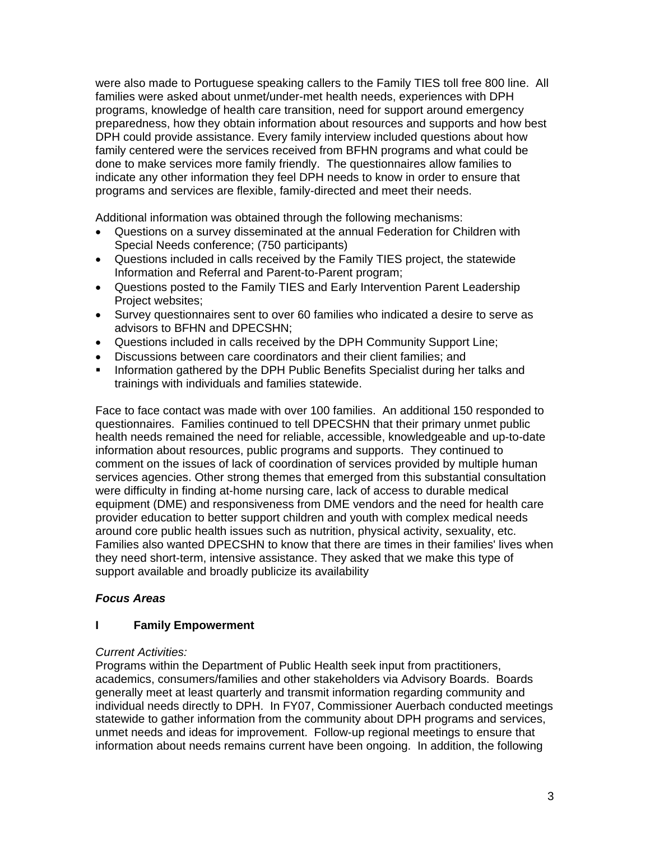were also made to Portuguese speaking callers to the Family TIES toll free 800 line. All families were asked about unmet/under-met health needs, experiences with DPH programs, knowledge of health care transition, need for support around emergency preparedness, how they obtain information about resources and supports and how best DPH could provide assistance. Every family interview included questions about how family centered were the services received from BFHN programs and what could be done to make services more family friendly. The questionnaires allow families to indicate any other information they feel DPH needs to know in order to ensure that programs and services are flexible, family-directed and meet their needs.

Additional information was obtained through the following mechanisms:

- Questions on a survey disseminated at the annual Federation for Children with Special Needs conference; (750 participants)
- Questions included in calls received by the Family TIES project, the statewide Information and Referral and Parent-to-Parent program;
- Questions posted to the Family TIES and Early Intervention Parent Leadership Project websites;
- Survey questionnaires sent to over 60 families who indicated a desire to serve as advisors to BFHN and DPECSHN;
- Questions included in calls received by the DPH Community Support Line;
- Discussions between care coordinators and their client families; and
- ! Information gathered by the DPH Public Benefits Specialist during her talks and trainings with individuals and families statewide.

Face to face contact was made with over 100 families. An additional 150 responded to questionnaires. Families continued to tell DPECSHN that their primary unmet public health needs remained the need for reliable, accessible, knowledgeable and up-to-date information about resources, public programs and supports. They continued to comment on the issues of lack of coordination of services provided by multiple human services agencies. Other strong themes that emerged from this substantial consultation were difficulty in finding at-home nursing care, lack of access to durable medical equipment (DME) and responsiveness from DME vendors and the need for health care provider education to better support children and youth with complex medical needs around core public health issues such as nutrition, physical activity, sexuality, etc. Families also wanted DPECSHN to know that there are times in their families' lives when they need short-term, intensive assistance. They asked that we make this type of support available and broadly publicize its availability

## *Focus Areas*

#### **I Family Empowerment**

#### *Current Activities:*

Programs within the Department of Public Health seek input from practitioners, academics, consumers/families and other stakeholders via Advisory Boards. Boards generally meet at least quarterly and transmit information regarding community and individual needs directly to DPH. In FY07, Commissioner Auerbach conducted meetings statewide to gather information from the community about DPH programs and services, unmet needs and ideas for improvement. Follow-up regional meetings to ensure that information about needs remains current have been ongoing. In addition, the following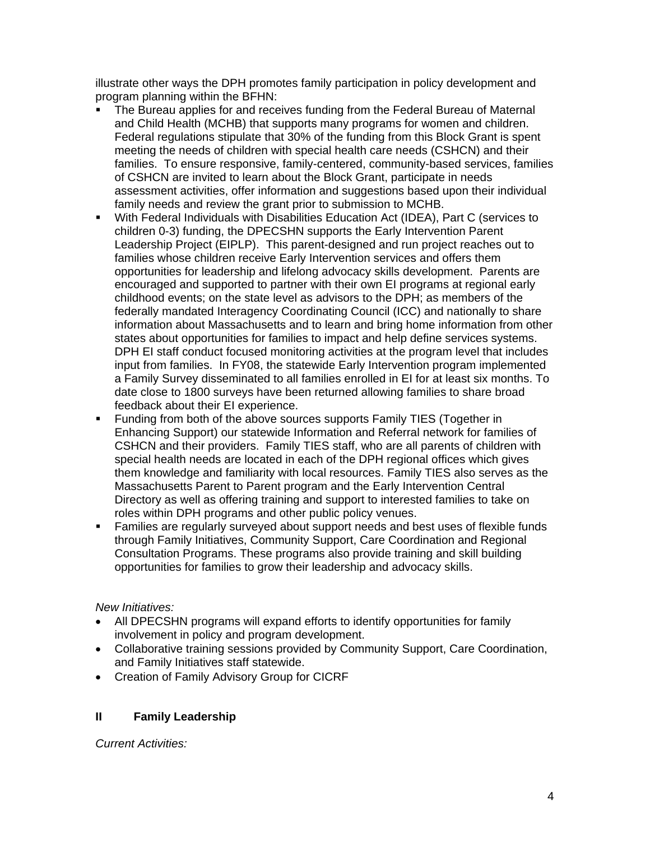illustrate other ways the DPH promotes family participation in policy development and program planning within the BFHN:

- The Bureau applies for and receives funding from the Federal Bureau of Maternal and Child Health (MCHB) that supports many programs for women and children. Federal regulations stipulate that 30% of the funding from this Block Grant is spent meeting the needs of children with special health care needs (CSHCN) and their families. To ensure responsive, family-centered, community-based services, families of CSHCN are invited to learn about the Block Grant, participate in needs assessment activities, offer information and suggestions based upon their individual family needs and review the grant prior to submission to MCHB.
- ! With Federal Individuals with Disabilities Education Act (IDEA), Part C (services to children 0-3) funding, the DPECSHN supports the Early Intervention Parent Leadership Project (EIPLP). This parent-designed and run project reaches out to families whose children receive Early Intervention services and offers them opportunities for leadership and lifelong advocacy skills development. Parents are encouraged and supported to partner with their own EI programs at regional early childhood events; on the state level as advisors to the DPH; as members of the federally mandated Interagency Coordinating Council (ICC) and nationally to share information about Massachusetts and to learn and bring home information from other states about opportunities for families to impact and help define services systems. DPH EI staff conduct focused monitoring activities at the program level that includes input from families. In FY08, the statewide Early Intervention program implemented a Family Survey disseminated to all families enrolled in EI for at least six months. To date close to 1800 surveys have been returned allowing families to share broad feedback about their EI experience.
- ! Funding from both of the above sources supports Family TIES (Together in Enhancing Support) our statewide Information and Referral network for families of CSHCN and their providers. Family TIES staff, who are all parents of children with special health needs are located in each of the DPH regional offices which gives them knowledge and familiarity with local resources. Family TIES also serves as the Massachusetts Parent to Parent program and the Early Intervention Central Directory as well as offering training and support to interested families to take on roles within DPH programs and other public policy venues.
- ! Families are regularly surveyed about support needs and best uses of flexible funds through Family Initiatives, Community Support, Care Coordination and Regional Consultation Programs. These programs also provide training and skill building opportunities for families to grow their leadership and advocacy skills.

# *New Initiatives:*

- All DPECSHN programs will expand efforts to identify opportunities for family involvement in policy and program development.
- Collaborative training sessions provided by Community Support, Care Coordination, and Family Initiatives staff statewide.
- Creation of Family Advisory Group for CICRF

# **II Family Leadership**

*Current Activities:*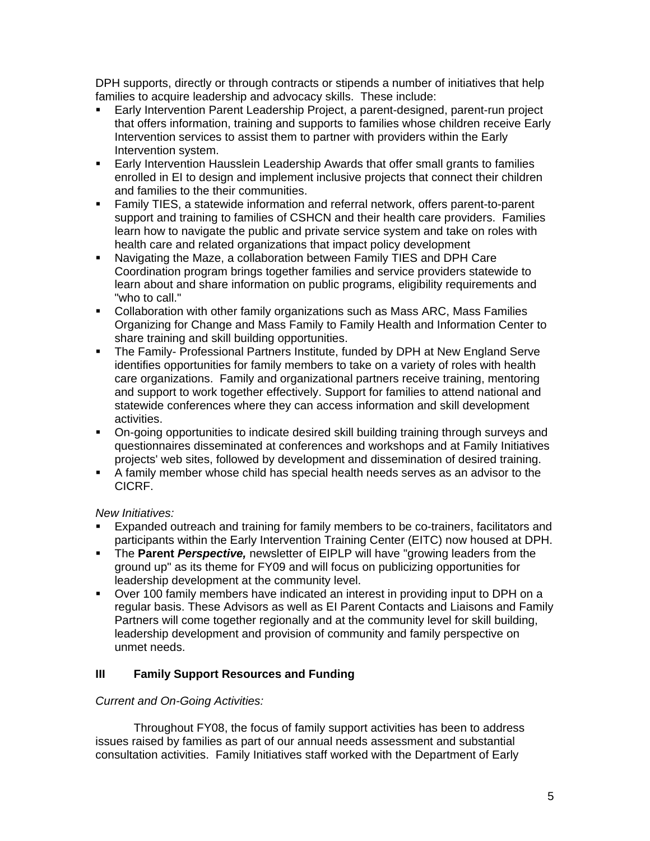DPH supports, directly or through contracts or stipends a number of initiatives that help families to acquire leadership and advocacy skills. These include:

- ! Early Intervention Parent Leadership Project, a parent-designed, parent-run project that offers information, training and supports to families whose children receive Early Intervention services to assist them to partner with providers within the Early Intervention system.
- **Early Intervention Hausslein Leadership Awards that offer small grants to families** enrolled in EI to design and implement inclusive projects that connect their children and families to the their communities.
- ! Family TIES, a statewide information and referral network, offers parent-to-parent support and training to families of CSHCN and their health care providers. Families learn how to navigate the public and private service system and take on roles with health care and related organizations that impact policy development
- ! Navigating the Maze, a collaboration between Family TIES and DPH Care Coordination program brings together families and service providers statewide to learn about and share information on public programs, eligibility requirements and "who to call."
- ! Collaboration with other family organizations such as Mass ARC, Mass Families Organizing for Change and Mass Family to Family Health and Information Center to share training and skill building opportunities.
- ! The Family- Professional Partners Institute, funded by DPH at New England Serve identifies opportunities for family members to take on a variety of roles with health care organizations. Family and organizational partners receive training, mentoring and support to work together effectively. Support for families to attend national and statewide conferences where they can access information and skill development activities.
- ! On-going opportunities to indicate desired skill building training through surveys and questionnaires disseminated at conferences and workshops and at Family Initiatives projects' web sites, followed by development and dissemination of desired training.
- ! A family member whose child has special health needs serves as an advisor to the CICRF.

*New Initiatives:* 

- Expanded outreach and training for family members to be co-trainers, facilitators and participants within the Early Intervention Training Center (EITC) now housed at DPH.
- ! The **Parent** *Perspective,* newsletter of EIPLP will have "growing leaders from the ground up" as its theme for FY09 and will focus on publicizing opportunities for leadership development at the community level.
- ! Over 100 family members have indicated an interest in providing input to DPH on a regular basis. These Advisors as well as EI Parent Contacts and Liaisons and Family Partners will come together regionally and at the community level for skill building, leadership development and provision of community and family perspective on unmet needs.

# **III Family Support Resources and Funding**

# *Current and On-Going Activities:*

Throughout FY08, the focus of family support activities has been to address issues raised by families as part of our annual needs assessment and substantial consultation activities. Family Initiatives staff worked with the Department of Early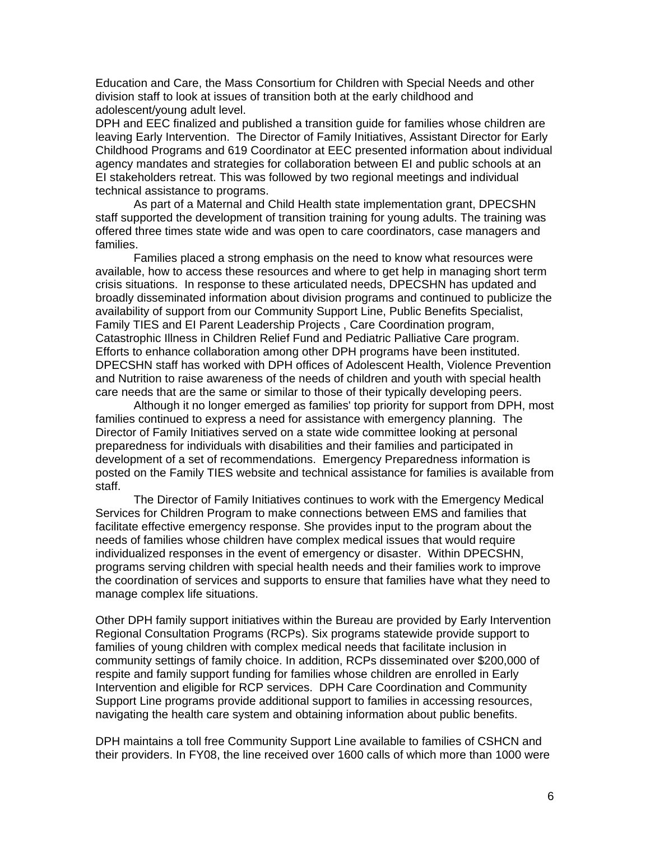Education and Care, the Mass Consortium for Children with Special Needs and other division staff to look at issues of transition both at the early childhood and adolescent/young adult level.

DPH and EEC finalized and published a transition guide for families whose children are leaving Early Intervention. The Director of Family Initiatives, Assistant Director for Early Childhood Programs and 619 Coordinator at EEC presented information about individual agency mandates and strategies for collaboration between EI and public schools at an EI stakeholders retreat. This was followed by two regional meetings and individual technical assistance to programs.

As part of a Maternal and Child Health state implementation grant, DPECSHN staff supported the development of transition training for young adults. The training was offered three times state wide and was open to care coordinators, case managers and families.

Families placed a strong emphasis on the need to know what resources were available, how to access these resources and where to get help in managing short term crisis situations. In response to these articulated needs, DPECSHN has updated and broadly disseminated information about division programs and continued to publicize the availability of support from our Community Support Line, Public Benefits Specialist, Family TIES and EI Parent Leadership Projects , Care Coordination program, Catastrophic Illness in Children Relief Fund and Pediatric Palliative Care program. Efforts to enhance collaboration among other DPH programs have been instituted. DPECSHN staff has worked with DPH offices of Adolescent Health, Violence Prevention and Nutrition to raise awareness of the needs of children and youth with special health care needs that are the same or similar to those of their typically developing peers.

Although it no longer emerged as families' top priority for support from DPH, most families continued to express a need for assistance with emergency planning. The Director of Family Initiatives served on a state wide committee looking at personal preparedness for individuals with disabilities and their families and participated in development of a set of recommendations. Emergency Preparedness information is posted on the Family TIES website and technical assistance for families is available from staff.

The Director of Family Initiatives continues to work with the Emergency Medical Services for Children Program to make connections between EMS and families that facilitate effective emergency response. She provides input to the program about the needs of families whose children have complex medical issues that would require individualized responses in the event of emergency or disaster. Within DPECSHN, programs serving children with special health needs and their families work to improve the coordination of services and supports to ensure that families have what they need to manage complex life situations.

Other DPH family support initiatives within the Bureau are provided by Early Intervention Regional Consultation Programs (RCPs). Six programs statewide provide support to families of young children with complex medical needs that facilitate inclusion in community settings of family choice. In addition, RCPs disseminated over \$200,000 of respite and family support funding for families whose children are enrolled in Early Intervention and eligible for RCP services. DPH Care Coordination and Community Support Line programs provide additional support to families in accessing resources, navigating the health care system and obtaining information about public benefits.

DPH maintains a toll free Community Support Line available to families of CSHCN and their providers. In FY08, the line received over 1600 calls of which more than 1000 were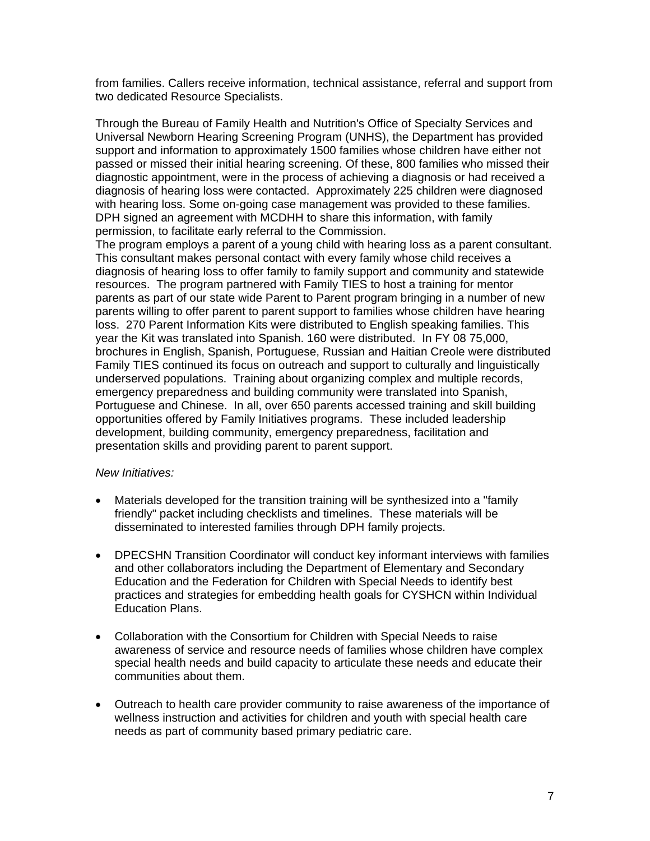from families. Callers receive information, technical assistance, referral and support from two dedicated Resource Specialists.

Through the Bureau of Family Health and Nutrition's Office of Specialty Services and Universal Newborn Hearing Screening Program (UNHS), the Department has provided support and information to approximately 1500 families whose children have either not passed or missed their initial hearing screening. Of these, 800 families who missed their diagnostic appointment, were in the process of achieving a diagnosis or had received a diagnosis of hearing loss were contacted. Approximately 225 children were diagnosed with hearing loss. Some on-going case management was provided to these families. DPH signed an agreement with MCDHH to share this information, with family permission, to facilitate early referral to the Commission.

The program employs a parent of a young child with hearing loss as a parent consultant. This consultant makes personal contact with every family whose child receives a diagnosis of hearing loss to offer family to family support and community and statewide resources. The program partnered with Family TIES to host a training for mentor parents as part of our state wide Parent to Parent program bringing in a number of new parents willing to offer parent to parent support to families whose children have hearing loss. 270 Parent Information Kits were distributed to English speaking families. This year the Kit was translated into Spanish. 160 were distributed. In FY 08 75,000, brochures in English, Spanish, Portuguese, Russian and Haitian Creole were distributed Family TIES continued its focus on outreach and support to culturally and linguistically underserved populations. Training about organizing complex and multiple records, emergency preparedness and building community were translated into Spanish, Portuguese and Chinese. In all, over 650 parents accessed training and skill building opportunities offered by Family Initiatives programs. These included leadership development, building community, emergency preparedness, facilitation and presentation skills and providing parent to parent support.

#### *New Initiatives:*

- Materials developed for the transition training will be synthesized into a "family friendly" packet including checklists and timelines. These materials will be disseminated to interested families through DPH family projects.
- DPECSHN Transition Coordinator will conduct key informant interviews with families and other collaborators including the Department of Elementary and Secondary Education and the Federation for Children with Special Needs to identify best practices and strategies for embedding health goals for CYSHCN within Individual Education Plans.
- Collaboration with the Consortium for Children with Special Needs to raise awareness of service and resource needs of families whose children have complex special health needs and build capacity to articulate these needs and educate their communities about them.
- Outreach to health care provider community to raise awareness of the importance of wellness instruction and activities for children and youth with special health care needs as part of community based primary pediatric care.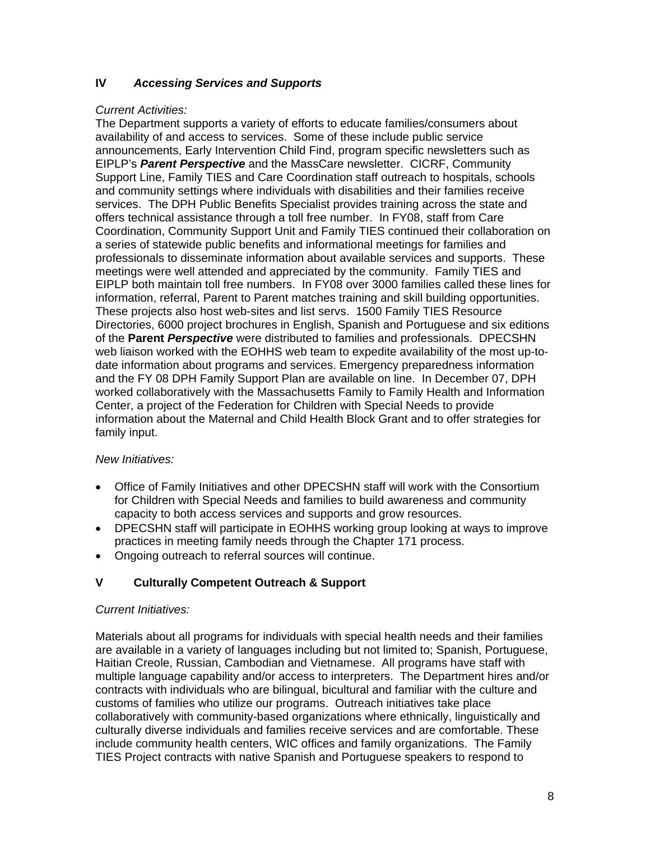## **IV** *Accessing Services and Supports*

### *Current Activities:*

The Department supports a variety of efforts to educate families/consumers about availability of and access to services. Some of these include public service announcements, Early Intervention Child Find, program specific newsletters such as EIPLP's *Parent Perspective* and the MassCare newsletter. CICRF, Community Support Line, Family TIES and Care Coordination staff outreach to hospitals, schools and community settings where individuals with disabilities and their families receive services. The DPH Public Benefits Specialist provides training across the state and offers technical assistance through a toll free number. In FY08, staff from Care Coordination, Community Support Unit and Family TIES continued their collaboration on a series of statewide public benefits and informational meetings for families and professionals to disseminate information about available services and supports. These meetings were well attended and appreciated by the community. Family TIES and EIPLP both maintain toll free numbers. In FY08 over 3000 families called these lines for information, referral, Parent to Parent matches training and skill building opportunities. These projects also host web-sites and list servs. 1500 Family TIES Resource Directories, 6000 project brochures in English, Spanish and Portuguese and six editions of the **Parent** *Perspective* were distributed to families and professionals. DPECSHN web liaison worked with the EOHHS web team to expedite availability of the most up-todate information about programs and services. Emergency preparedness information and the FY 08 DPH Family Support Plan are available on line. In December 07, DPH worked collaboratively with the Massachusetts Family to Family Health and Information Center, a project of the Federation for Children with Special Needs to provide information about the Maternal and Child Health Block Grant and to offer strategies for family input.

## *New Initiatives:*

- Office of Family Initiatives and other DPECSHN staff will work with the Consortium for Children with Special Needs and families to build awareness and community capacity to both access services and supports and grow resources.
- DPECSHN staff will participate in EOHHS working group looking at ways to improve practices in meeting family needs through the Chapter 171 process.
- Ongoing outreach to referral sources will continue.

# **V Culturally Competent Outreach & Support**

## *Current Initiatives:*

Materials about all programs for individuals with special health needs and their families are available in a variety of languages including but not limited to; Spanish, Portuguese, Haitian Creole, Russian, Cambodian and Vietnamese. All programs have staff with multiple language capability and/or access to interpreters. The Department hires and/or contracts with individuals who are bilingual, bicultural and familiar with the culture and customs of families who utilize our programs. Outreach initiatives take place collaboratively with community-based organizations where ethnically, linguistically and culturally diverse individuals and families receive services and are comfortable. These include community health centers, WIC offices and family organizations. The Family TIES Project contracts with native Spanish and Portuguese speakers to respond to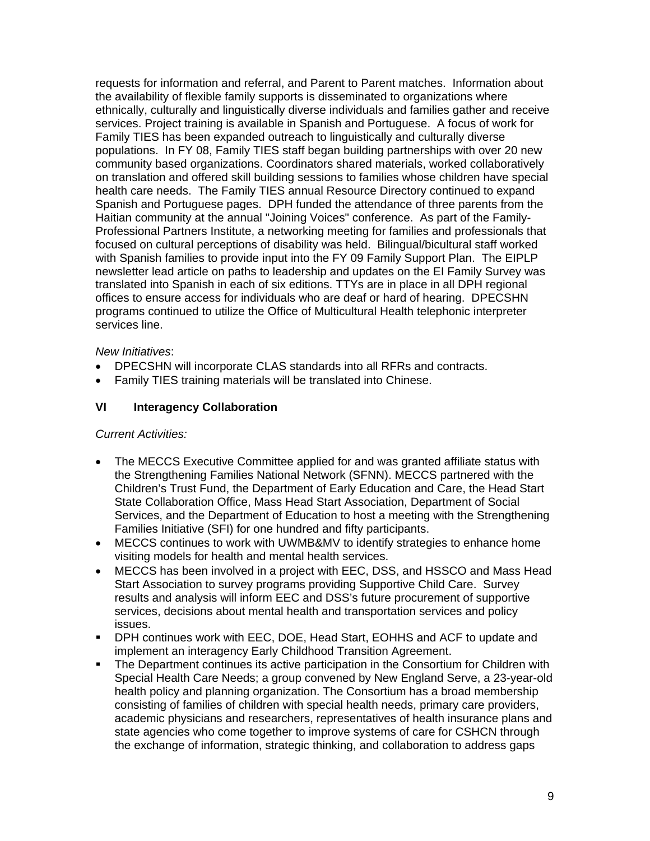requests for information and referral, and Parent to Parent matches. Information about the availability of flexible family supports is disseminated to organizations where ethnically, culturally and linguistically diverse individuals and families gather and receive services. Project training is available in Spanish and Portuguese. A focus of work for Family TIES has been expanded outreach to linguistically and culturally diverse populations. In FY 08, Family TIES staff began building partnerships with over 20 new community based organizations. Coordinators shared materials, worked collaboratively on translation and offered skill building sessions to families whose children have special health care needs. The Family TIES annual Resource Directory continued to expand Spanish and Portuguese pages. DPH funded the attendance of three parents from the Haitian community at the annual "Joining Voices" conference. As part of the Family-Professional Partners Institute, a networking meeting for families and professionals that focused on cultural perceptions of disability was held. Bilingual/bicultural staff worked with Spanish families to provide input into the FY 09 Family Support Plan. The EIPLP newsletter lead article on paths to leadership and updates on the EI Family Survey was translated into Spanish in each of six editions. TTYs are in place in all DPH regional offices to ensure access for individuals who are deaf or hard of hearing. DPECSHN programs continued to utilize the Office of Multicultural Health telephonic interpreter services line.

## *New Initiatives*:

- DPECSHN will incorporate CLAS standards into all RFRs and contracts.
- Family TIES training materials will be translated into Chinese.

## **VI Interagency Collaboration**

#### *Current Activities:*

- The MECCS Executive Committee applied for and was granted affiliate status with the Strengthening Families National Network (SFNN). MECCS partnered with the Children's Trust Fund, the Department of Early Education and Care, the Head Start State Collaboration Office, Mass Head Start Association, Department of Social Services, and the Department of Education to host a meeting with the Strengthening Families Initiative (SFI) for one hundred and fifty participants.
- MECCS continues to work with UWMB&MV to identify strategies to enhance home visiting models for health and mental health services.
- MECCS has been involved in a project with EEC, DSS, and HSSCO and Mass Head Start Association to survey programs providing Supportive Child Care. Survey results and analysis will inform EEC and DSS's future procurement of supportive services, decisions about mental health and transportation services and policy issues.
- ! DPH continues work with EEC, DOE, Head Start, EOHHS and ACF to update and implement an interagency Early Childhood Transition Agreement.
- The Department continues its active participation in the Consortium for Children with Special Health Care Needs; a group convened by New England Serve, a 23-year-old health policy and planning organization. The Consortium has a broad membership consisting of families of children with special health needs, primary care providers, academic physicians and researchers, representatives of health insurance plans and state agencies who come together to improve systems of care for CSHCN through the exchange of information, strategic thinking, and collaboration to address gaps